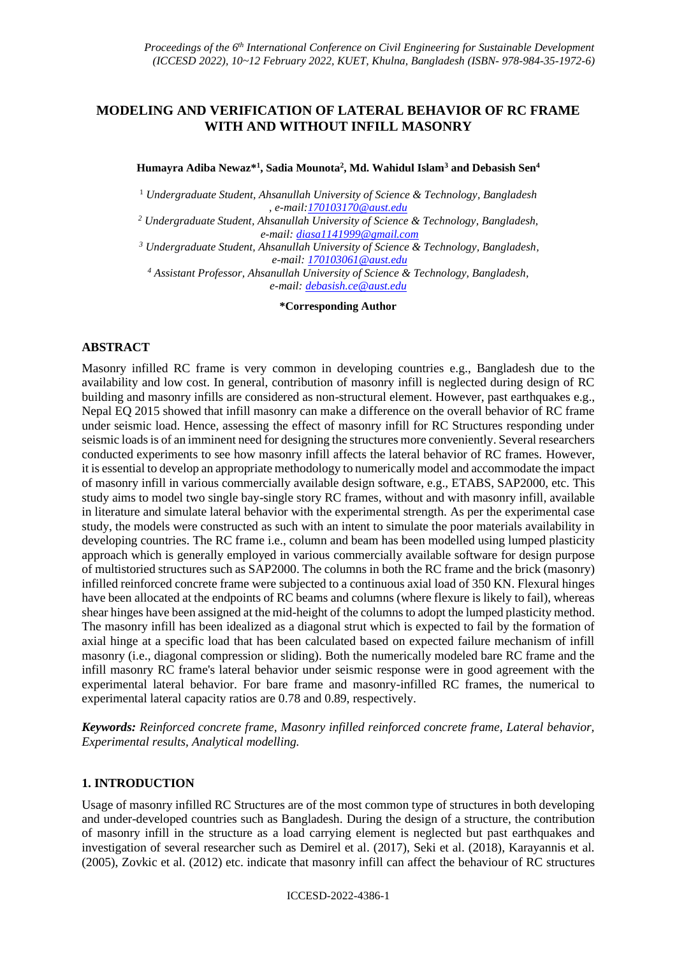# **MODELING AND VERIFICATION OF LATERAL BEHAVIOR OF RC FRAME WITH AND WITHOUT INFILL MASONRY**

**Humayra Adiba Newaz\* 1 , Sadia Mounota<sup>2</sup> , Md. Wahidul Islam<sup>3</sup> and Debasish Sen<sup>4</sup>**

<sup>1</sup> *Undergraduate Student, Ahsanullah University of Science & Technology, Bangladesh , e-mail[:170103170@aust.edu](mailto:170103170@aust.edu)*

*<sup>2</sup> Undergraduate Student, Ahsanullah University of Science & Technology, Bangladesh, e-mail: [diasa1141999@gmail.com](mailto:diasa1141999@gmail.com)*

*<sup>3</sup> Undergraduate Student, Ahsanullah University of Science & Technology, Bangladesh, e-mail: [170103061@aust.edu](mailto:170103061@aust.edu)*

*<sup>4</sup> Assistant Professor, Ahsanullah University of Science & Technology, Bangladesh, e-mail: [debasish.ce@aust.edu](mailto:debasish.ce@aust.edu)*

**\*Corresponding Author**

# **ABSTRACT**

Masonry infilled RC frame is very common in developing countries e.g., Bangladesh due to the availability and low cost. In general, contribution of masonry infill is neglected during design of RC building and masonry infills are considered as non-structural element. However, past earthquakes e.g., Nepal EQ 2015 showed that infill masonry can make a difference on the overall behavior of RC frame under seismic load. Hence, assessing the effect of masonry infill for RC Structures responding under seismic loads is of an imminent need for designing the structures more conveniently. Several researchers conducted experiments to see how masonry infill affects the lateral behavior of RC frames. However, it is essential to develop an appropriate methodology to numerically model and accommodate the impact of masonry infill in various commercially available design software, e.g., ETABS, SAP2000, etc. This study aims to model two single bay-single story RC frames, without and with masonry infill, available in literature and simulate lateral behavior with the experimental strength. As per the experimental case study, the models were constructed as such with an intent to simulate the poor materials availability in developing countries. The RC frame i.e., column and beam has been modelled using lumped plasticity approach which is generally employed in various commercially available software for design purpose of multistoried structures such as SAP2000. The columns in both the RC frame and the brick (masonry) infilled reinforced concrete frame were subjected to a continuous axial load of 350 KN. Flexural hinges have been allocated at the endpoints of RC beams and columns (where flexure is likely to fail), whereas shear hinges have been assigned at the mid-height of the columns to adopt the lumped plasticity method. The masonry infill has been idealized as a diagonal strut which is expected to fail by the formation of axial hinge at a specific load that has been calculated based on expected failure mechanism of infill masonry (i.e., diagonal compression or sliding). Both the numerically modeled bare RC frame and the infill masonry RC frame's lateral behavior under seismic response were in good agreement with the experimental lateral behavior. For bare frame and masonry-infilled RC frames, the numerical to experimental lateral capacity ratios are 0.78 and 0.89, respectively.

*Keywords: Reinforced concrete frame, Masonry infilled reinforced concrete frame, Lateral behavior, Experimental results, Analytical modelling.*

# **1. INTRODUCTION**

Usage of masonry infilled RC Structures are of the most common type of structures in both developing and under-developed countries such as Bangladesh. During the design of a structure, the contribution of masonry infill in the structure as a load carrying element is neglected but past earthquakes and investigation of several researcher such as Demirel et al. (2017), Seki et al. (2018), Karayannis et al. (2005), Zovkic et al. (2012) etc. indicate that masonry infill can affect the behaviour of RC structures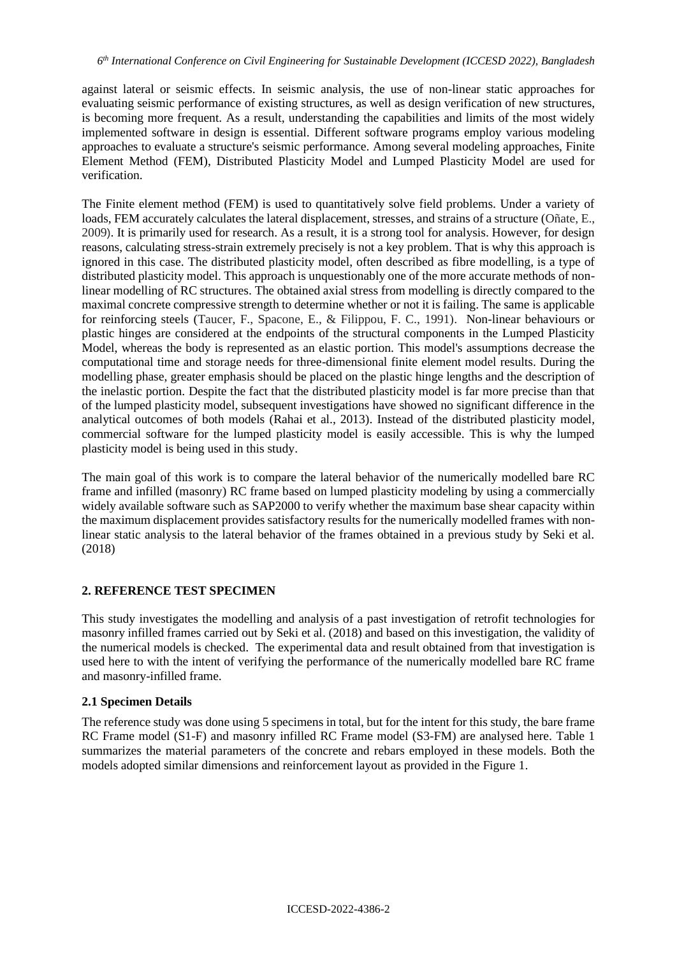against lateral or seismic effects. In seismic analysis, the use of non-linear static approaches for evaluating seismic performance of existing structures, as well as design verification of new structures, is becoming more frequent. As a result, understanding the capabilities and limits of the most widely implemented software in design is essential. Different software programs employ various modeling approaches to evaluate a structure's seismic performance. Among several modeling approaches, Finite Element Method (FEM), Distributed Plasticity Model and Lumped Plasticity Model are used for verification.

The Finite element method (FEM) is used to quantitatively solve field problems. Under a variety of loads, FEM accurately calculates the lateral displacement, stresses, and strains of a structure (Oñate, E., 2009). It is primarily used for research. As a result, it is a strong tool for analysis. However, for design reasons, calculating stress-strain extremely precisely is not a key problem. That is why this approach is ignored in this case. The distributed plasticity model, often described as fibre modelling, is a type of distributed plasticity model. This approach is unquestionably one of the more accurate methods of nonlinear modelling of RC structures. The obtained axial stress from modelling is directly compared to the maximal concrete compressive strength to determine whether or not it is failing. The same is applicable for reinforcing steels (Taucer, F., Spacone, E., & Filippou, F. C., 1991). Non-linear behaviours or plastic hinges are considered at the endpoints of the structural components in the Lumped Plasticity Model, whereas the body is represented as an elastic portion. This model's assumptions decrease the computational time and storage needs for three-dimensional finite element model results. During the modelling phase, greater emphasis should be placed on the plastic hinge lengths and the description of the inelastic portion. Despite the fact that the distributed plasticity model is far more precise than that of the lumped plasticity model, subsequent investigations have showed no significant difference in the analytical outcomes of both models (Rahai et al., 2013). Instead of the distributed plasticity model, commercial software for the lumped plasticity model is easily accessible. This is why the lumped plasticity model is being used in this study.

The main goal of this work is to compare the lateral behavior of the numerically modelled bare RC frame and infilled (masonry) RC frame based on lumped plasticity modeling by using a commercially widely available software such as SAP2000 to verify whether the maximum base shear capacity within the maximum displacement provides satisfactory results for the numerically modelled frames with nonlinear static analysis to the lateral behavior of the frames obtained in a previous study by Seki et al. (2018)

# **2. REFERENCE TEST SPECIMEN**

This study investigates the modelling and analysis of a past investigation of retrofit technologies for masonry infilled frames carried out by Seki et al. (2018) and based on this investigation, the validity of the numerical models is checked. The experimental data and result obtained from that investigation is used here to with the intent of verifying the performance of the numerically modelled bare RC frame and masonry-infilled frame.

# **2.1 Specimen Details**

The reference study was done using 5 specimens in total, but for the intent for this study, the bare frame RC Frame model (S1-F) and masonry infilled RC Frame model (S3-FM) are analysed here. Table 1 summarizes the material parameters of the concrete and rebars employed in these models. Both the models adopted similar dimensions and reinforcement layout as provided in the Figure 1.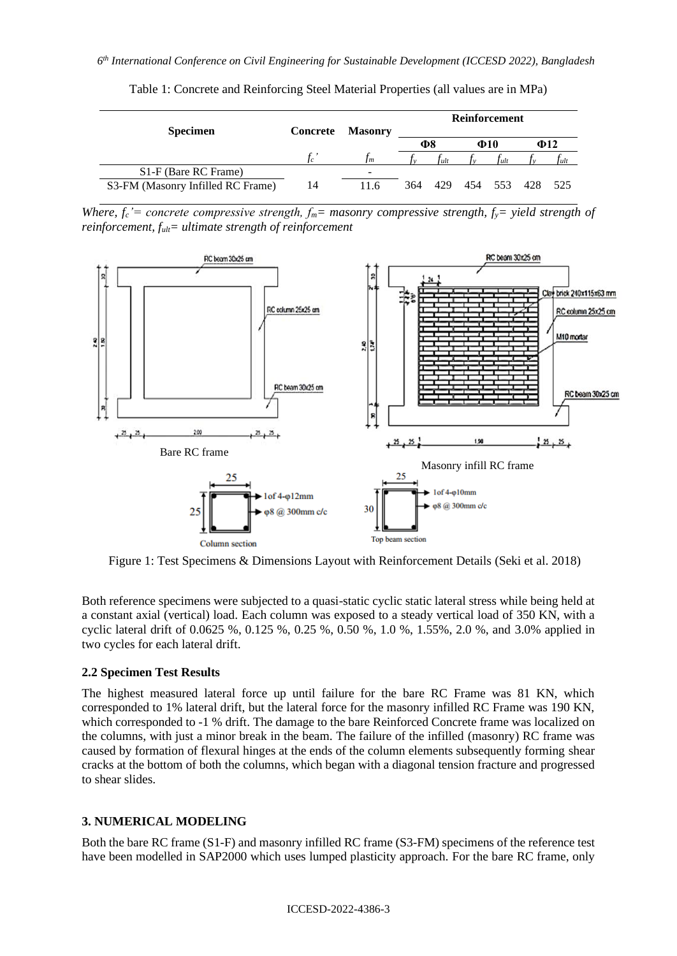| <b>Specimen</b>                   | Concrete | Masonry                  | Reinforcement   |      |  |           |                     |      |
|-----------------------------------|----------|--------------------------|-----------------|------|--|-----------|---------------------|------|
|                                   |          |                          | Ф8<br>$\Phi$ 10 |      |  | $\Phi$ 12 |                     |      |
|                                   | $t_{c}$  | Im                       |                 | Tult |  | †ult      |                     | Tult |
| S <sub>1</sub> -F (Bare RC Frame) |          | $\overline{\phantom{a}}$ |                 |      |  |           |                     |      |
| S3-FM (Masonry Infilled RC Frame) | 14       | 11 6                     | 364             |      |  |           | 429 454 553 428 525 |      |

Table 1: Concrete and Reinforcing Steel Material Properties (all values are in MPa)

*Where,*  $f_c$ *<sup>'</sup>= concrete compressive strength,*  $f_m$ *= masonry compressive strength,*  $f_v$ *= yield strength of reinforcement, fult= ultimate strength of reinforcement*



Figure 1: Test Specimens & Dimensions Layout with Reinforcement Details (Seki et al. 2018)

Both reference specimens were subjected to a quasi-static cyclic static lateral stress while being held at a constant axial (vertical) load. Each column was exposed to a steady vertical load of 350 KN, with a cyclic lateral drift of 0.0625 %, 0.125 %, 0.25 %, 0.50 %, 1.0 %, 1.55%, 2.0 %, and 3.0% applied in two cycles for each lateral drift.

# **2.2 Specimen Test Results**

The highest measured lateral force up until failure for the bare RC Frame was 81 KN, which corresponded to 1% lateral drift, but the lateral force for the masonry infilled RC Frame was 190 KN, which corresponded to -1 % drift. The damage to the bare Reinforced Concrete frame was localized on the columns, with just a minor break in the beam. The failure of the infilled (masonry) RC frame was caused by formation of flexural hinges at the ends of the column elements subsequently forming shear cracks at the bottom of both the columns, which began with a diagonal tension fracture and progressed to shear slides.

# **3. NUMERICAL MODELING**

Both the bare RC frame (S1-F) and masonry infilled RC frame (S3-FM) specimens of the reference test have been modelled in SAP2000 which uses lumped plasticity approach. For the bare RC frame, only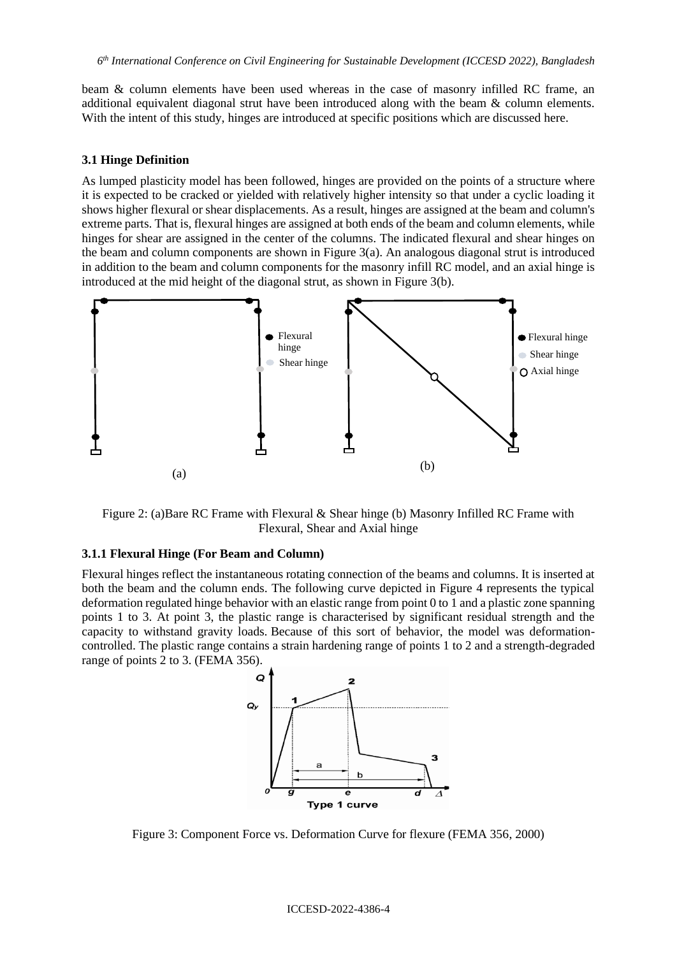beam & column elements have been used whereas in the case of masonry infilled RC frame, an additional equivalent diagonal strut have been introduced along with the beam & column elements. With the intent of this study, hinges are introduced at specific positions which are discussed here.

#### **3.1 Hinge Definition**

As lumped plasticity model has been followed, hinges are provided on the points of a structure where it is expected to be cracked or yielded with relatively higher intensity so that under a cyclic loading it shows higher flexural or shear displacements. As a result, hinges are assigned at the beam and column's extreme parts. That is, flexural hinges are assigned at both ends of the beam and column elements, while hinges for shear are assigned in the center of the columns. The indicated flexural and shear hinges on the beam and column components are shown in Figure  $3(a)$ . An analogous diagonal strut is introduced in addition to the beam and column components for the masonry infill RC model, and an axial hinge is introduced at the mid height of the diagonal strut, as shown in Figure 3(b).



Figure 2: (a)Bare RC Frame with Flexural & Shear hinge (b) Masonry Infilled RC Frame with Flexural, Shear and Axial hinge

### **3.1.1 Flexural Hinge (For Beam and Column)**

Flexural hinges reflect the instantaneous rotating connection of the beams and columns. It is inserted at both the beam and the column ends. The following curve depicted in Figure 4 represents the typical deformation regulated hinge behavior with an elastic range from point 0 to 1 and a plastic zone spanning points 1 to 3. At point 3, the plastic range is characterised by significant residual strength and the capacity to withstand gravity loads. Because of this sort of behavior, the model was deformationcontrolled. The plastic range contains a strain hardening range of points 1 to 2 and a strength-degraded range of points 2 to 3. (FEMA 356).



Figure 3: Component Force vs. Deformation Curve for flexure (FEMA 356, 2000)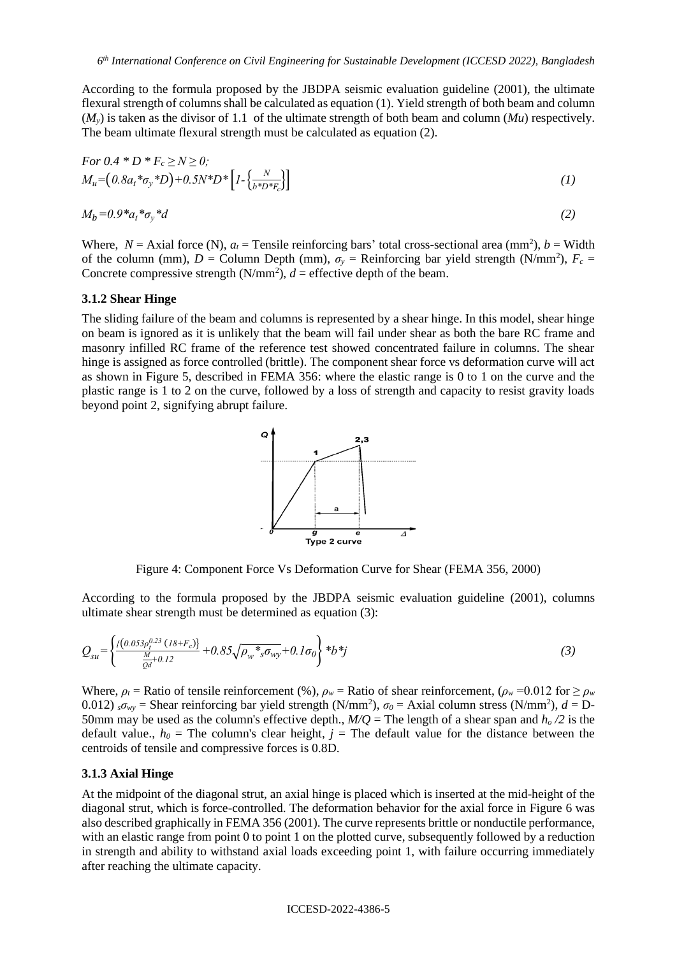According to the formula proposed by the JBDPA seismic evaluation guideline (2001), the ultimate flexural strength of columns shall be calculated as equation (1). Yield strength of both beam and column  $(M<sub>v</sub>)$  is taken as the divisor of 1.1 of the ultimate strength of both beam and column  $(Mu)$  respectively. The beam ultimate flexural strength must be calculated as equation (2).

For 
$$
0.4 * D * F_c \ge N \ge 0
$$
;  
\n
$$
M_u = (0.8a_t * \sigma_y * D) + 0.5N * D * [1 - {\frac{N}{b * D * F_c}}]
$$
\n(1)

$$
M_b = 0.9 \cdot a_t \cdot a_v \cdot d \tag{2}
$$

Where,  $N =$  Axial force (N),  $a_t$  = Tensile reinforcing bars' total cross-sectional area (mm<sup>2</sup>),  $b =$  Width of the column (mm),  $D =$  Column Depth (mm),  $\sigma_y =$  Reinforcing bar yield strength (N/mm<sup>2</sup>),  $F_c =$ Concrete compressive strength  $(N/mm^2)$ ,  $d =$  effective depth of the beam.

### **3.1.2 Shear Hinge**

The sliding failure of the beam and columns is represented by a shear hinge. In this model, shear hinge on beam is ignored as it is unlikely that the beam will fail under shear as both the bare RC frame and masonry infilled RC frame of the reference test showed concentrated failure in columns. The shear hinge is assigned as force controlled (brittle). The component shear force vs deformation curve will act as shown in Figure 5, described in FEMA 356: where the elastic range is 0 to 1 on the curve and the plastic range is 1 to 2 on the curve, followed by a loss of strength and capacity to resist gravity loads beyond point 2, signifying abrupt failure.



Figure 4: Component Force Vs Deformation Curve for Shear (FEMA 356, 2000)

According to the formula proposed by the JBDPA seismic evaluation guideline (2001), columns ultimate shear strength must be determined as equation (3):

$$
Q_{su} = \left\{ \frac{\{(0.053\rho_1^{0.23} (18+F_c))\}}{\frac{M}{Qd} + 0.12} + 0.85\sqrt{\rho_w *_{s} \sigma_{wy}} + 0.1\sigma_0 \right\} * b * j \tag{3}
$$

Where,  $\rho_t$  = Ratio of tensile reinforcement (%),  $\rho_w$  = Ratio of shear reinforcement,  $(\rho_w = 0.012$  for  $\geq \rho_w$ 0.012)  $\sigma_{wy}$  = Shear reinforcing bar yield strength (N/mm<sup>2</sup>),  $\sigma_0$  = Axial column stress (N/mm<sup>2</sup>),  $d = D$ 50mm may be used as the column's effective depth.,  $M/Q =$ The length of a shear span and  $h_0/2$  is the default value.,  $h_0$  = The column's clear height,  $j$  = The default value for the distance between the centroids of tensile and compressive forces is 0.8D.

#### **3.1.3 Axial Hinge**

At the midpoint of the diagonal strut, an axial hinge is placed which is inserted at the mid-height of the diagonal strut, which is force-controlled. The deformation behavior for the axial force in Figure 6 was also described graphically in FEMA 356 (2001). The curve represents brittle or nonductile performance, with an elastic range from point 0 to point 1 on the plotted curve, subsequently followed by a reduction in strength and ability to withstand axial loads exceeding point 1, with failure occurring immediately after reaching the ultimate capacity.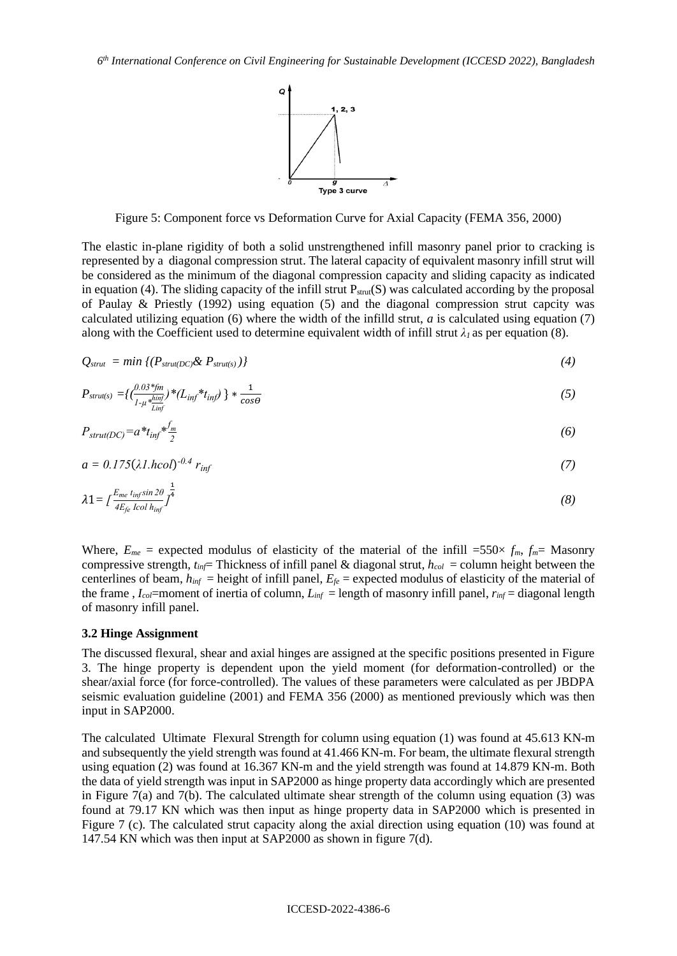

Figure 5: Component force vs Deformation Curve for Axial Capacity (FEMA 356, 2000)

The elastic in-plane rigidity of both a solid unstrengthened infill masonry panel prior to cracking is represented by a diagonal compression strut. The lateral capacity of equivalent masonry infill strut will be considered as the minimum of the diagonal compression capacity and sliding capacity as indicated in equation (4). The sliding capacity of the infill strut  $P_{strut}(S)$  was calculated according by the proposal of Paulay & Priestly (1992) using equation (5) and the diagonal compression strut capcity was calculated utilizing equation  $(6)$  where the width of the infilld strut, *a* is calculated using equation  $(7)$ along with the Coefficient used to determine equivalent width of infill strut  $\lambda_l$  as per equation (8).

$$
Q_{strut} = min \{ (P_{strut(DC)} \& P_{strut(s)}) \} \tag{4}
$$

$$
P_{strut(s)} = \left\{ \left( \frac{0.03 \, \text{*fm}}{1 - \mu \, \text{*funif}} \right) \text{*f} \left( L_{inf} \text{*t}_{inf} \right) \right\} \text{*} \frac{1}{\cos \theta} \tag{5}
$$

$$
P_{struct(DC)} = a^*t_{inf}*\frac{f_m}{2} \tag{6}
$$

$$
a = 0.175(\lambda 1.hcol)^{-0.4} r_{inf}
$$
 (7)

1*= [ Eme t infsin 2θ 4Efe Icol hinf ]* 1 4 *(8)*

Where,  $E_{me}$  = expected modulus of elasticity of the material of the infill =550 $\times$   $f_m$ ,  $f_m$ = Masonry compressive strength,  $t_{inf}$  Thickness of infill panel & diagonal strut,  $h_{col}$  = column height between the centerlines of beam,  $h_{inf}$  = height of infill panel,  $E_f$  = expected modulus of elasticity of the material of the frame,  $I_{col}$ =moment of inertia of column,  $L_{inf}$  = length of masonry infill panel,  $r_{inf}$  = diagonal length of masonry infill panel.

#### **3.2 Hinge Assignment**

The discussed flexural, shear and axial hinges are assigned at the specific positions presented in Figure 3. The hinge property is dependent upon the yield moment (for deformation-controlled) or the shear/axial force (for force-controlled). The values of these parameters were calculated as per JBDPA seismic evaluation guideline (2001) and FEMA 356 (2000) as mentioned previously which was then input in SAP2000.

The calculated Ultimate Flexural Strength for column using equation (1) was found at 45.613 KN-m and subsequently the yield strength was found at 41.466 KN-m. For beam, the ultimate flexural strength using equation (2) was found at 16.367 KN-m and the yield strength was found at 14.879 KN-m. Both the data of yield strength was input in SAP2000 as hinge property data accordingly which are presented in Figure 7(a) and 7(b). The calculated ultimate shear strength of the column using equation (3) was found at 79.17 KN which was then input as hinge property data in SAP2000 which is presented in Figure 7 (c). The calculated strut capacity along the axial direction using equation (10) was found at 147.54 KN which was then input at SAP2000 as shown in figure 7(d).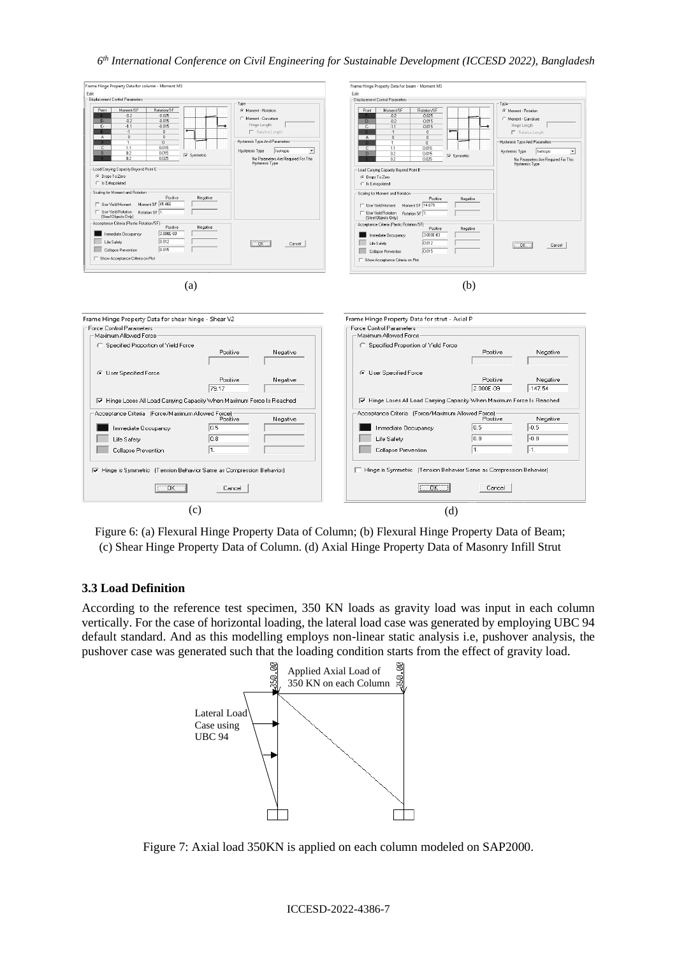### *6 th International Conference on Civil Engineering for Sustainable Development (ICCESD 2022), Bangladesh*



Figure 6: (a) Flexural Hinge Property Data of Column; (b) Flexural Hinge Property Data of Beam; (c) Shear Hinge Property Data of Column. (d) Axial Hinge Property Data of Masonry Infill Strut

# **3.3 Load Definition**

According to the reference test specimen, 350 KN loads as gravity load was input in each column vertically. For the case of horizontal loading, the lateral load case was generated by employing UBC 94 default standard. And as this modelling employs non-linear static analysis i.e, pushover analysis, the pushover case was generated such that the loading condition starts from the effect of gravity load.



Figure 7: Axial load 350KN is applied on each column modeled on SAP2000.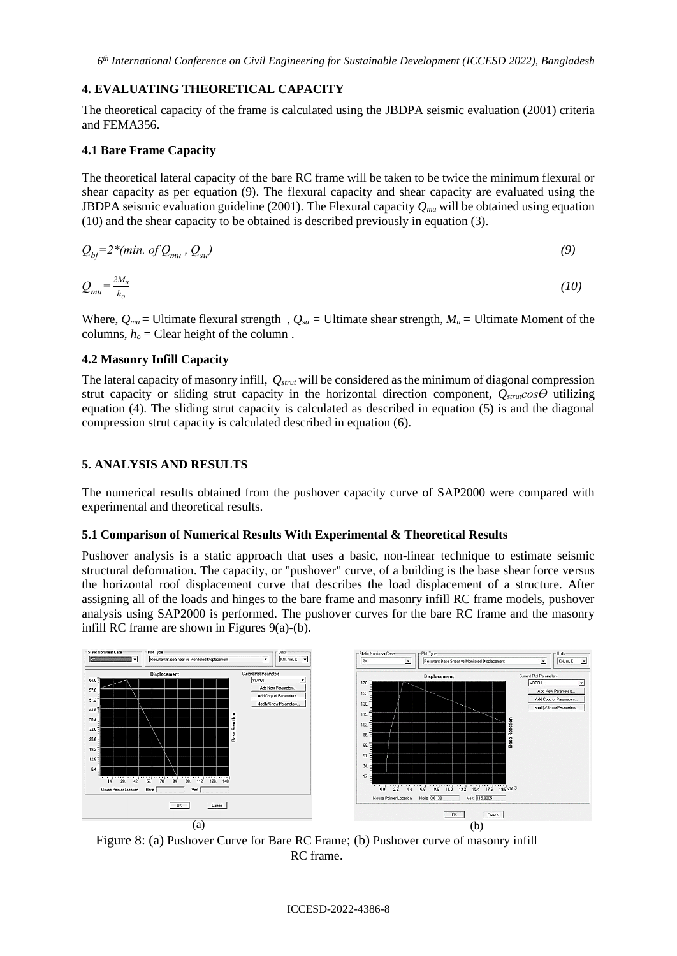### **4. EVALUATING THEORETICAL CAPACITY**

The theoretical capacity of the frame is calculated using the JBDPA seismic evaluation (2001) criteria and FEMA356.

### **4.1 Bare Frame Capacity**

The theoretical lateral capacity of the bare RC frame will be taken to be twice the minimum flexural or shear capacity as per equation (9). The flexural capacity and shear capacity are evaluated using the JBDPA seismic evaluation guideline (2001). The Flexural capacity *Qmu* will be obtained using equation (10) and the shear capacity to be obtained is described previously in equation (3).

$$
Q_{bf} = 2*(min. of Q_{mu}, Q_{su})
$$
\n(9)

$$
Q_{mu} = \frac{2M_u}{h_o} \tag{10}
$$

Where,  $Q_{mu}$  = Ultimate flexural strength ,  $Q_{su}$  = Ultimate shear strength,  $M_u$  = Ultimate Moment of the columns,  $h<sub>o</sub> = Clear$  height of the column.

### **4.2 Masonry Infill Capacity**

The lateral capacity of masonry infill, *Qstrut* will be considered as the minimum of diagonal compression strut capacity or sliding strut capacity in the horizontal direction component, *Qstrutcosϴ* utilizing equation (4). The sliding strut capacity is calculated as described in equation (5) is and the diagonal compression strut capacity is calculated described in equation (6).

### **5. ANALYSIS AND RESULTS**

The numerical results obtained from the pushover capacity curve of SAP2000 were compared with experimental and theoretical results.

### **5.1 Comparison of Numerical Results With Experimental & Theoretical Results**

Pushover analysis is a static approach that uses a basic, non-linear technique to estimate seismic structural deformation. The capacity, or "pushover" curve, of a building is the base shear force versus the horizontal roof displacement curve that describes the load displacement of a structure. After assigning all of the loads and hinges to the bare frame and masonry infill RC frame models, pushover analysis using SAP2000 is performed. The pushover curves for the bare RC frame and the masonry infill RC frame are shown in Figures 9(a)-(b).



Figure 8: (a) Pushover Curve for Bare RC Frame; (b) Pushover curve of masonry infill RC frame.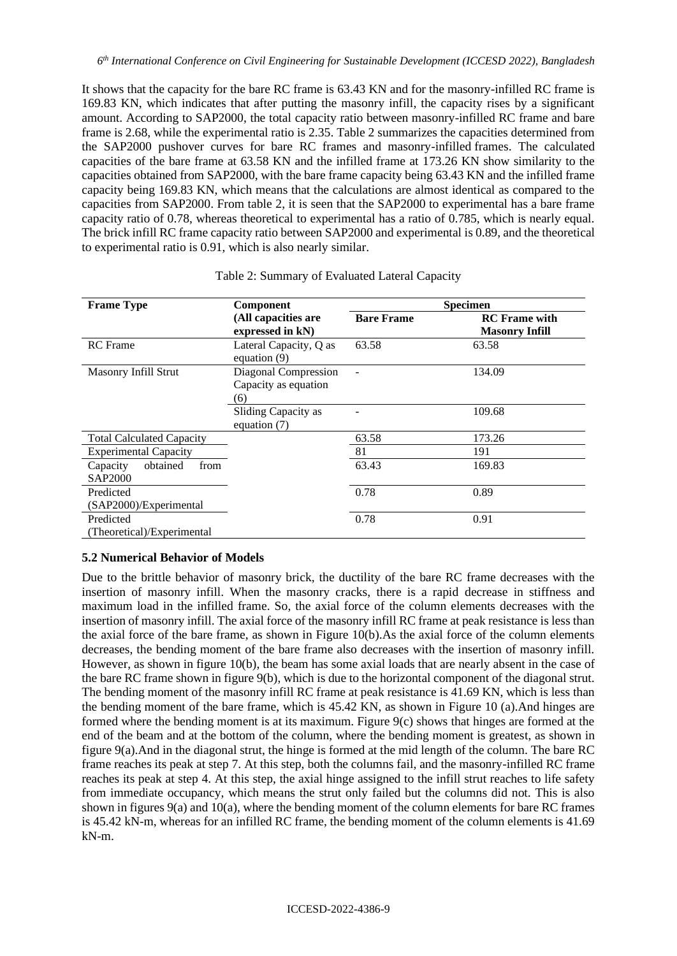It shows that the capacity for the bare RC frame is 63.43 KN and for the masonry-infilled RC frame is 169.83 KN, which indicates that after putting the masonry infill, the capacity rises by a significant amount. According to SAP2000, the total capacity ratio between masonry-infilled RC frame and bare frame is 2.68, while the experimental ratio is 2.35. Table 2 summarizes the capacities determined from the SAP2000 pushover curves for bare RC frames and masonry-infilled frames. The calculated capacities of the bare frame at 63.58 KN and the infilled frame at 173.26 KN show similarity to the capacities obtained from SAP2000, with the bare frame capacity being 63.43 KN and the infilled frame capacity being 169.83 KN, which means that the calculations are almost identical as compared to the capacities from SAP2000. From table 2, it is seen that the SAP2000 to experimental has a bare frame capacity ratio of 0.78, whereas theoretical to experimental has a ratio of 0.785, which is nearly equal. The brick infill RC frame capacity ratio between SAP2000 and experimental is 0.89, and the theoretical to experimental ratio is 0.91, which is also nearly similar.

| <b>Frame Type</b>                       | <b>Component</b>                                    | <b>Specimen</b>   |                                               |  |  |
|-----------------------------------------|-----------------------------------------------------|-------------------|-----------------------------------------------|--|--|
|                                         | (All capacities are<br>expressed in kN)             | <b>Bare Frame</b> | <b>RC</b> Frame with<br><b>Masonry Infill</b> |  |  |
| <b>RC</b> Frame                         | Lateral Capacity, Q as<br>equation (9)              | 63.58             | 63.58                                         |  |  |
| Masonry Infill Strut                    | Diagonal Compression<br>Capacity as equation<br>(6) |                   | 134.09                                        |  |  |
|                                         | Sliding Capacity as<br>equation $(7)$               |                   | 109.68                                        |  |  |
| <b>Total Calculated Capacity</b>        |                                                     | 63.58             | 173.26                                        |  |  |
| <b>Experimental Capacity</b>            |                                                     | 81                | 191                                           |  |  |
| obtained<br>from<br>Capacity<br>SAP2000 |                                                     | 63.43             | 169.83                                        |  |  |
| Predicted<br>(SAP2000)/Experimental     |                                                     | 0.78              | 0.89                                          |  |  |
| Predicted<br>(Theoretical)/Experimental |                                                     | 0.78              | 0.91                                          |  |  |

#### Table 2: Summary of Evaluated Lateral Capacity

### **5.2 Numerical Behavior of Models**

Due to the brittle behavior of masonry brick, the ductility of the bare RC frame decreases with the insertion of masonry infill. When the masonry cracks, there is a rapid decrease in stiffness and maximum load in the infilled frame. So, the axial force of the column elements decreases with the insertion of masonry infill. The axial force of the masonry infill RC frame at peak resistance is less than the axial force of the bare frame, as shown in Figure 10(b).As the axial force of the column elements decreases, the bending moment of the bare frame also decreases with the insertion of masonry infill. However, as shown in figure 10(b), the beam has some axial loads that are nearly absent in the case of the bare RC frame shown in figure 9(b), which is due to the horizontal component of the diagonal strut. The bending moment of the masonry infill RC frame at peak resistance is 41.69 KN, which is less than the bending moment of the bare frame, which is 45.42 KN, as shown in Figure 10 (a).And hinges are formed where the bending moment is at its maximum. Figure 9(c) shows that hinges are formed at the end of the beam and at the bottom of the column, where the bending moment is greatest, as shown in figure 9(a).And in the diagonal strut, the hinge is formed at the mid length of the column. The bare RC frame reaches its peak at step 7. At this step, both the columns fail, and the masonry-infilled RC frame reaches its peak at step 4. At this step, the axial hinge assigned to the infill strut reaches to life safety from immediate occupancy, which means the strut only failed but the columns did not. This is also shown in figures 9(a) and 10(a), where the bending moment of the column elements for bare RC frames is 45.42 kN-m, whereas for an infilled RC frame, the bending moment of the column elements is 41.69 kN-m.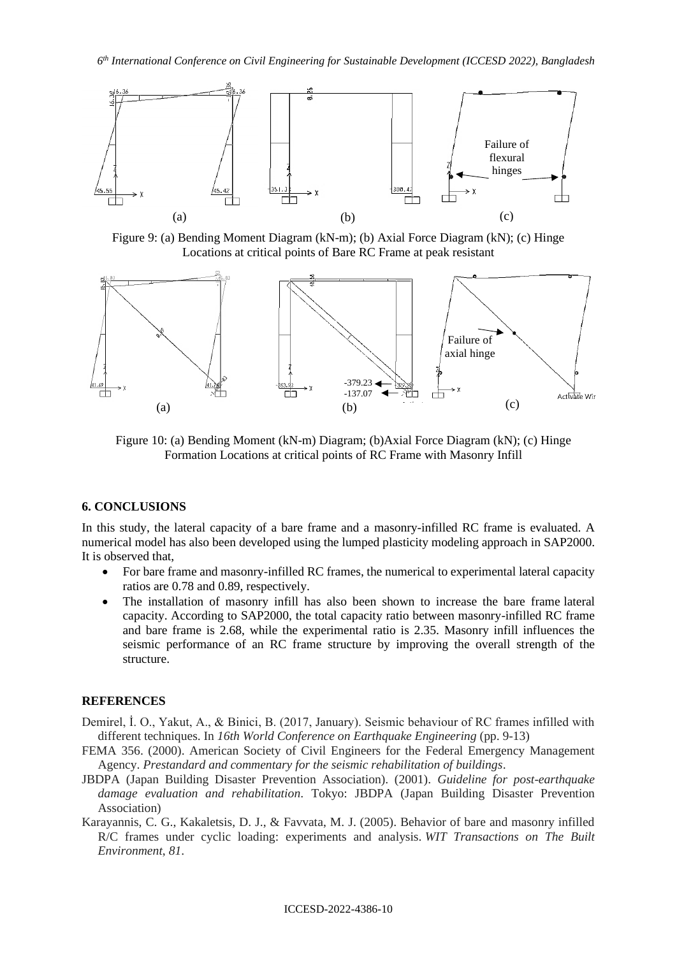

Figure 9: (a) Bending Moment Diagram (kN-m); (b) Axial Force Diagram (kN); (c) Hinge Locations at critical points of Bare RC Frame at peak resistant



Figure 10: (a) Bending Moment (kN-m) Diagram; (b)Axial Force Diagram (kN); (c) Hinge Formation Locations at critical points of RC Frame with Masonry Infill

### **6. CONCLUSIONS**

In this study, the lateral capacity of a bare frame and a masonry-infilled RC frame is evaluated. A numerical model has also been developed using the lumped plasticity modeling approach in SAP2000. It is observed that,

- For bare frame and masonry-infilled RC frames, the numerical to experimental lateral capacity ratios are 0.78 and 0.89, respectively.
- The installation of masonry infill has also been shown to increase the bare frame lateral capacity. According to SAP2000, the total capacity ratio between masonry-infilled RC frame and bare frame is 2.68, while the experimental ratio is 2.35. Masonry infill influences the seismic performance of an RC frame structure by improving the overall strength of the structure.

### **REFERENCES**

- Demirel, İ. O., Yakut, A., & Binici, B. (2017, January). Seismic behaviour of RC frames infilled with different techniques. In *16th World Conference on Earthquake Engineering* (pp. 9-13)
- FEMA 356. (2000). American Society of Civil Engineers for the Federal Emergency Management Agency. *Prestandard and commentary for the seismic rehabilitation of buildings*.
- JBDPA (Japan Building Disaster Prevention Association). (2001). *Guideline for post-earthquake damage evaluation and rehabilitation*. Tokyo: JBDPA (Japan Building Disaster Prevention Association)
- Karayannis, C. G., Kakaletsis, D. J., & Favvata, M. J. (2005). Behavior of bare and masonry infilled R/C frames under cyclic loading: experiments and analysis. *WIT Transactions on The Built Environment*, *81*.